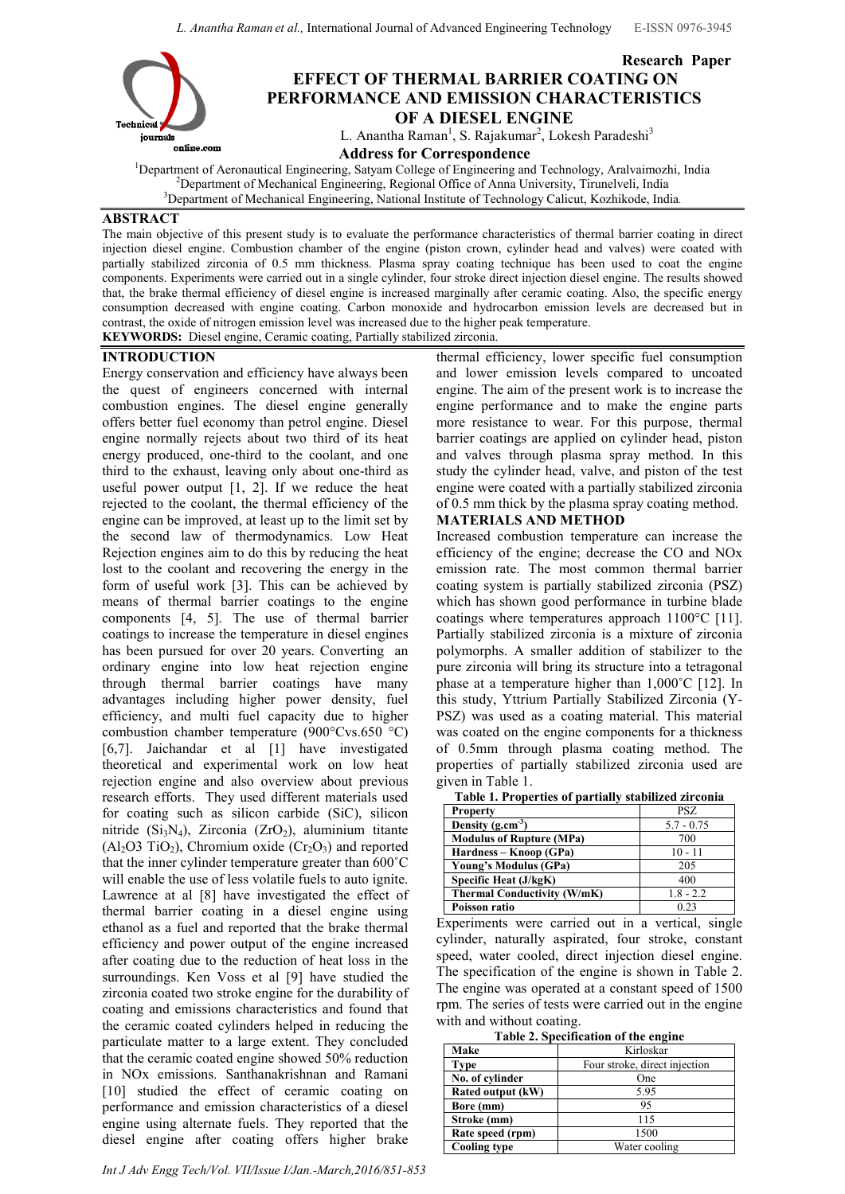*L. Anantha Raman et al.,* International Journal of Advanced Engineering Technology E-ISSN 0976-3945



# Research Paper EFFECT OF THERMAL BARRIER COATING ON PERFORMANCE AND EMISSION CHARACTERISTICS OF A DIESEL ENGINE

L. Anantha Raman<sup>1</sup>, S. Rajakumar<sup>2</sup>, Lokesh Paradeshi<sup>3</sup>

onane.com<br>
<sup>1</sup>Department of Agropautical Engineering Satuam College of Engineering and Department of Aeronautical Engineering, Satyam College of Engineering and Technology, Aralvaimozhi, India <sup>2</sup> <sup>2</sup>Department of Mechanical Engineering, Regional Office of Anna University, Tirunelveli, India <sup>3</sup>Department of Mechanical Engineering, National Institute of Technology Calicut, Kozhikode, India.

# ABSTRACT

The main objective of this present study is to evaluate the performance characteristics of thermal barrier coating in direct injection diesel engine. Combustion chamber of the engine (piston crown, cylinder head and valves) were coated with partially stabilized zirconia of 0.5 mm thickness. Plasma spray coating technique has been used to coat the engine components. Experiments were carried out in a single cylinder, four stroke direct injection diesel engine. The results showed that, the brake thermal efficiency of diesel engine is increased marginally after ceramic coating. Also, the specific energy consumption decreased with engine coating. Carbon monoxide and hydrocarbon emission levels are decreased but in contrast, the oxide of nitrogen emission level was increased due to the higher peak temperature. KEYWORDS: Diesel engine, Ceramic coating, Partially stabilized zirconia.

# INTRODUCTION

Energy conservation and efficiency have always been the quest of engineers concerned with internal combustion engines. The diesel engine generally offers better fuel economy than petrol engine. Diesel engine normally rejects about two third of its heat energy produced, one-third to the coolant, and one third to the exhaust, leaving only about one-third as useful power output  $[1, 2]$ . If we reduce the heat rejected to the coolant, the thermal efficiency of the engine can be improved, at least up to the limit set by the second law of thermodynamics. Low Heat Rejection engines aim to do this by reducing the heat lost to the coolant and recovering the energy in the form of useful work [3]. This can be achieved by means of thermal barrier coatings to the engine components [4, 5]. The use of thermal barrier coatings to increase the temperature in diesel engines has been pursued for over 20 years. Converting an ordinary engine into low heat rejection engine through thermal barrier coatings have many advantages including higher power density, fuel efficiency, and multi fuel capacity due to higher combustion chamber temperature (900°Cvs.650 °C) [6,7]. Jaichandar et al [1] have investigated theoretical and experimental work on low heat rejection engine and also overview about previous research efforts. They used different materials used for coating such as silicon carbide (SiC), silicon nitride ( $Si<sub>3</sub>N<sub>4</sub>$ ), Zirconia (ZrO<sub>2</sub>), aluminium titante  $(A<sub>1</sub>, O<sub>3</sub> TiO<sub>2</sub>)$ , Chromium oxide  $(Cr<sub>2</sub>O<sub>3</sub>)$  and reported that the inner cylinder temperature greater than 600˚C will enable the use of less volatile fuels to auto ignite. Lawrence at al [8] have investigated the effect of thermal barrier coating in a diesel engine using ethanol as a fuel and reported that the brake thermal efficiency and power output of the engine increased after coating due to the reduction of heat loss in the surroundings. Ken Voss et al [9] have studied the zirconia coated two stroke engine for the durability of coating and emissions characteristics and found that the ceramic coated cylinders helped in reducing the particulate matter to a large extent. They concluded that the ceramic coated engine showed 50% reduction in NOx emissions. Santhanakrishnan and Ramani [10] studied the effect of ceramic coating on performance and emission characteristics of a diesel engine using alternate fuels. They reported that the diesel engine after coating offers higher brake

thermal efficiency, lower specific fuel consumption and lower emission levels compared to uncoated engine. The aim of the present work is to increase the engine performance and to make the engine parts more resistance to wear. For this purpose, thermal barrier coatings are applied on cylinder head, piston and valves through plasma spray method. In this study the cylinder head, valve, and piston of the test engine were coated with a partially stabilized zirconia of 0.5 mm thick by the plasma spray coating method.

### MATERIALS AND METHOD

Increased combustion temperature can increase the efficiency of the engine; decrease the CO and NOx emission rate. The most common thermal barrier coating system is partially stabilized zirconia (PSZ) which has shown good performance in turbine blade coatings where temperatures approach 1100°C [11]. Partially stabilized zirconia is a mixture of zirconia polymorphs. A smaller addition of stabilizer to the pure zirconia will bring its structure into a tetragonal phase at a temperature higher than 1,000˚C [12]. In this study, Yttrium Partially Stabilized Zirconia (Y-PSZ) was used as a coating material. This material was coated on the engine components for a thickness of 0.5mm through plasma coating method. The properties of partially stabilized zirconia used are given in Table 1.

| Tabit 1. I Tupti tits of partially stabilized zif coma |              |
|--------------------------------------------------------|--------------|
| <b>Property</b>                                        | PSZ.         |
| Density $(g.cm^{-3})$                                  | $5.7 - 0.75$ |
| <b>Modulus of Rupture (MPa)</b>                        | 700          |
| Hardness – Knoop (GPa)                                 | $10 - 11$    |
| Young's Modulus (GPa)                                  | 205          |
| Specific Heat (J/kgK)                                  | 400          |
| Thermal Conductivity (W/mK)                            | $1.8 - 2.2$  |
| Poisson ratio                                          | 0.23         |

Table 1. Properties of partially stabilized zirconia

Experiments were carried out in a vertical, single cylinder, naturally aspirated, four stroke, constant speed, water cooled, direct injection diesel engine. The specification of the engine is shown in Table 2. The engine was operated at a constant speed of 1500 rpm. The series of tests were carried out in the engine with and without coating.

Table 2. Specification of the engine

| Table 2: Specification of the engine |                               |
|--------------------------------------|-------------------------------|
| Make                                 | Kirloskar                     |
| <b>Type</b>                          | Four stroke, direct injection |
| No. of cylinder                      | One                           |
| Rated output (kW)                    | 5.95                          |
| Bore (mm)                            | 95                            |
| Stroke (mm)                          | 115                           |
| Rate speed (rpm)                     | 1500                          |
| <b>Cooling type</b>                  | Water cooling                 |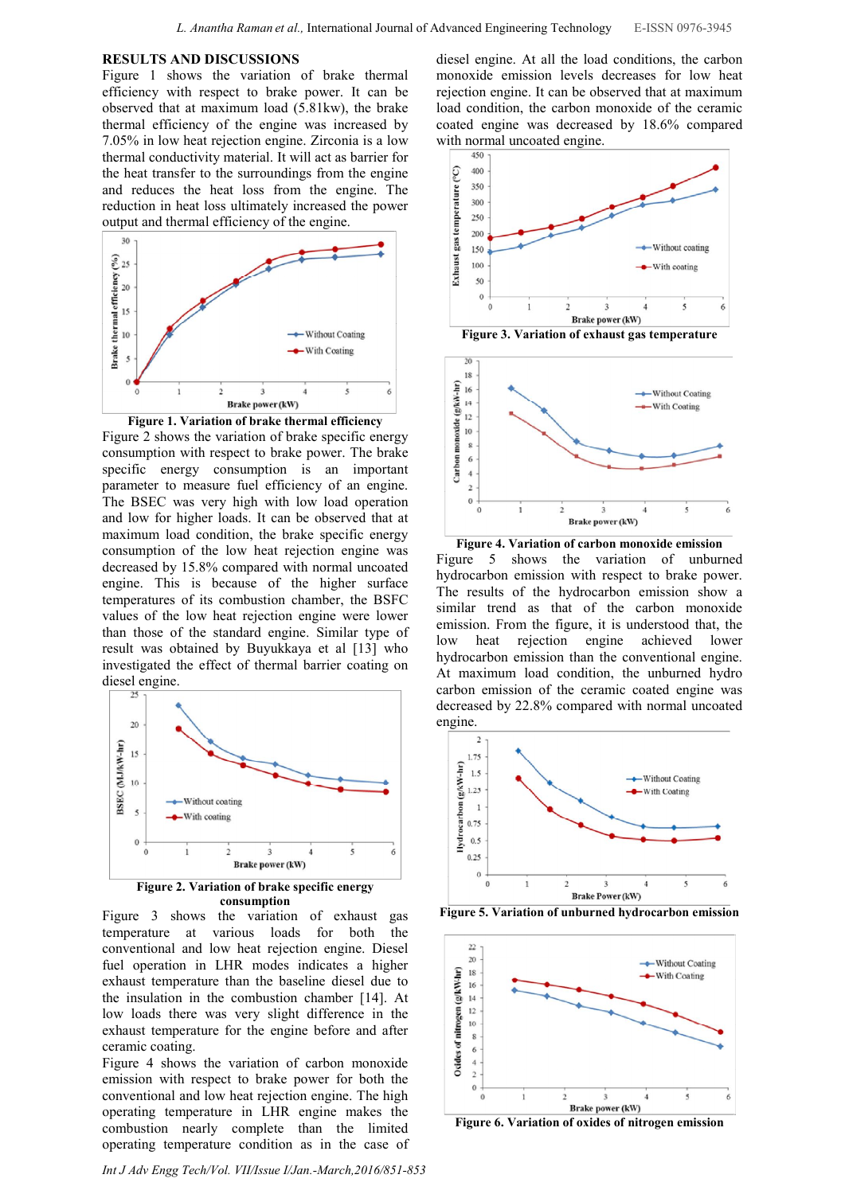#### RESULTS AND DISCUSSIONS

Figure 1 shows the variation of brake thermal efficiency with respect to brake power. It can be observed that at maximum load (5.81kw), the brake thermal efficiency of the engine was increased by 7.05% in low heat rejection engine. Zirconia is a low thermal conductivity material. It will act as barrier for the heat transfer to the surroundings from the engine and reduces the heat loss from the engine. The reduction in heat loss ultimately increased the power output and thermal efficiency of the engine.



Figure 1. Variation of brake thermal efficiency Figure 2 shows the variation of brake specific energy consumption with respect to brake power. The brake specific energy consumption is an important parameter to measure fuel efficiency of an engine. The BSEC was very high with low load operation and low for higher loads. It can be observed that at maximum load condition, the brake specific energy consumption of the low heat rejection engine was decreased by 15.8% compared with normal uncoated engine. This is because of the higher surface temperatures of its combustion chamber, the BSFC values of the low heat rejection engine were lower than those of the standard engine. Similar type of result was obtained by Buyukkaya et al [13] who investigated the effect of thermal barrier coating on diesel engine.



Figure 2. Variation of brake specific energy consumption

Figure 3 shows the variation of exhaust gas temperature at various loads for both the conventional and low heat rejection engine. Diesel fuel operation in LHR modes indicates a higher exhaust temperature than the baseline diesel due to the insulation in the combustion chamber [14]. At low loads there was very slight difference in the exhaust temperature for the engine before and after ceramic coating.

Figure 4 shows the variation of carbon monoxide emission with respect to brake power for both the conventional and low heat rejection engine. The high operating temperature in LHR engine makes the combustion nearly complete than the limited operating temperature condition as in the case of

*Int J Adv Engg Tech/Vol. VII/Issue I/Jan.-March,2016/851-853*

diesel engine. At all the load conditions, the carbon monoxide emission levels decreases for low heat rejection engine. It can be observed that at maximum load condition, the carbon monoxide of the ceramic coated engine was decreased by 18.6% compared with normal uncoated engine.







Figure 4. Variation of carbon monoxide emission Figure 5 shows the variation of unburned hydrocarbon emission with respect to brake power. The results of the hydrocarbon emission show a similar trend as that of the carbon monoxide emission. From the figure, it is understood that, the low heat rejection engine achieved lower hydrocarbon emission than the conventional engine. At maximum load condition, the unburned hydro carbon emission of the ceramic coated engine was decreased by 22.8% compared with normal uncoated engine.



Figure 5. Variation of unburned hydrocarbon emission